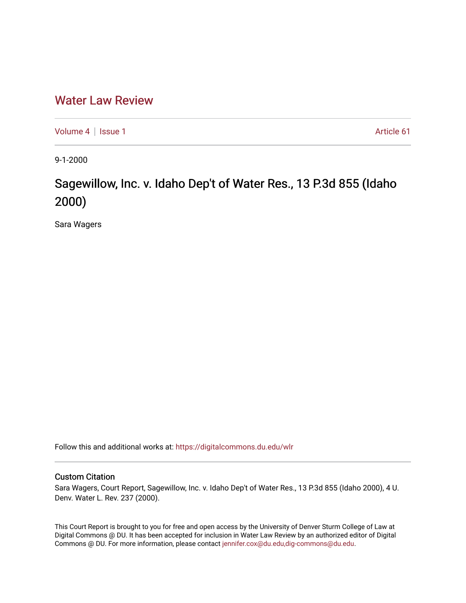## [Water Law Review](https://digitalcommons.du.edu/wlr)

[Volume 4](https://digitalcommons.du.edu/wlr/vol4) | [Issue 1](https://digitalcommons.du.edu/wlr/vol4/iss1) Article 61

9-1-2000

## Sagewillow, Inc. v. Idaho Dep't of Water Res., 13 P.3d 855 (Idaho 2000)

Sara Wagers

Follow this and additional works at: [https://digitalcommons.du.edu/wlr](https://digitalcommons.du.edu/wlr?utm_source=digitalcommons.du.edu%2Fwlr%2Fvol4%2Fiss1%2F61&utm_medium=PDF&utm_campaign=PDFCoverPages) 

## Custom Citation

Sara Wagers, Court Report, Sagewillow, Inc. v. Idaho Dep't of Water Res., 13 P.3d 855 (Idaho 2000), 4 U. Denv. Water L. Rev. 237 (2000).

This Court Report is brought to you for free and open access by the University of Denver Sturm College of Law at Digital Commons @ DU. It has been accepted for inclusion in Water Law Review by an authorized editor of Digital Commons @ DU. For more information, please contact [jennifer.cox@du.edu,dig-commons@du.edu.](mailto:jennifer.cox@du.edu,dig-commons@du.edu)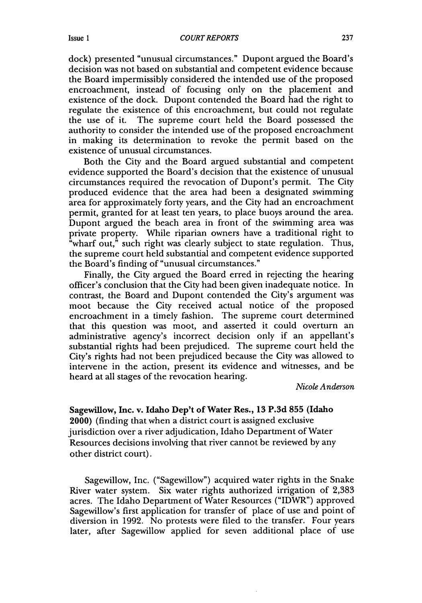dock) presented "unusual circumstances." Dupont argued the Board's decision was not based on substantial and competent evidence because the Board impermissibly considered the intended use of the proposed encroachment, instead of focusing only on the placement and existence of the dock. Dupont contended the Board had the right to regulate the existence of this encroachment, but could not regulate the use of it. The supreme court held the Board possessed the authority to consider the intended use of the proposed encroachment in making its determination to revoke the permit based on the existence of unusual circumstances.

Both the City and the Board argued substantial and competent evidence supported the Board's decision that the existence of unusual circumstances required the revocation of Dupont's permit. The City produced evidence that the area had been a designated swimming area for approximately forty years, and the City had an encroachment permit, granted for at least ten years, to place buoys around the area. Dupont argued the beach area in front of the swimming area was private property. While riparian owners have a traditional right to "wharf out," such right was clearly subject to state regulation. Thus, the supreme court held substantial and competent evidence supported the Board's finding of "unusual circumstances."

Finally, the City argued the Board erred in rejecting the hearing officer's conclusion that the City had been given inadequate notice. In contrast, the Board and Dupont contended the City's argument was moot because the City received actual notice of the proposed encroachment in a timely fashion. The supreme court determined that this question was moot, and asserted it could overturn an administrative agency's incorrect decision only if an appellant's substantial rights had been prejudiced. The supreme court held the City's rights had not been prejudiced because the City was allowed to intervene in the action, present its evidence and witnesses, and be heard at all stages of the revocation hearing.

*Nicole Anderson*

## Sagewillow, Inc. v. Idaho Dep't of Water Res., **13 P.3d 855** (Idaho 2000) (finding that when a district court is assigned exclusive jurisdiction over a river adjudication, Idaho Department of Water Resources decisions involving that river cannot be reviewed by any other district court).

Sagewillow, Inc. ("Sagewillow") acquired water rights in the Snake River water system. Six water rights authorized irrigation of 2,383 acres. The Idaho Department of Water Resources ("IDWR") approved Sagewillow's first application for transfer of place of use and point of diversion in 1992. No protests were filed to the transfer. Four years later, after Sagewillow applied for seven additional place of use